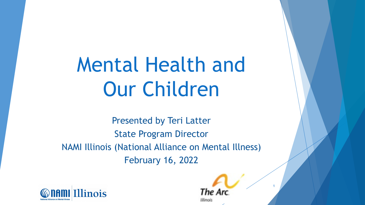# Mental Health and Our Children

Presented by Teri Latter State Program Director NAMI Illinois (National Alliance on Mental Illness) February 16, 2022



The A Winois

1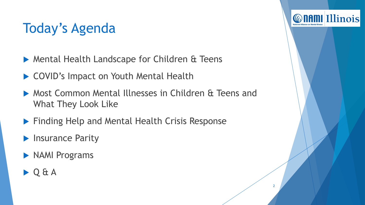# Today's Agenda

- ▶ Mental Health Landscape for Children & Teens
- ▶ COVID's Impact on Youth Mental Health
- Most Common Mental Illnesses in Children & Teens and What They Look Like

2

*C* name Illinois

- **Finding Help and Mental Health Crisis Response**
- **Insurance Parity**
- **NAMI Programs**
- Q & A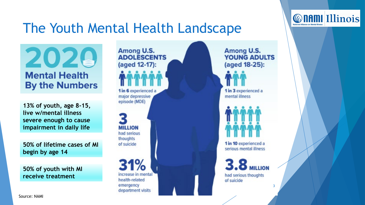#### The Youth Mental Health Landscape



**13% of youth, age 8-15, live w/mental illness severe enough to cause impairment in daily life**

**50% of lifetime cases of MI begin by age 14**

**50% of youth with MI receive treatment**

Among U.S. **ADOLESCENTS** (aged 12-17): 1 in 6 experienced a major depressive episode (MDE)

**MILLION** had serious thoughts of suicide

increase in mental health-related emergency department visits

Among U.S. **YOUNG ADULTS** (aged 18-25):

1 in 3 experienced a mental illness

1 in 10 experienced a serious mental illness

**3.8 MILLION** had serious thoughts of suicide

3

**Connullinois**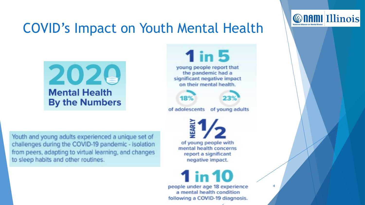#### COVID's Impact on Youth Mental Health



**1 in 5** young people report that the pandemic had a significant negative impact on their mental health.



of adolescents of young adults

18%

Youth and young adults experienced a unique set of challenges during the COVID-19 pandemic - isolation from peers, adapting to virtual learning, and changes to sleep habits and other routines.

of young people with mental health concerns report a significant negative impact.

**1 in 10** people under age 18 experience a mental health condition following a COVID-19 diagnosis.

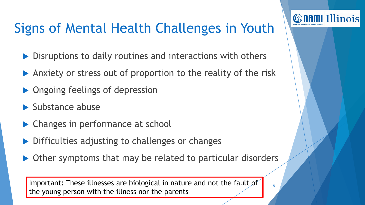# Signs of Mental Health Challenges in Youth

**Connullinois** 

- ▶ Disruptions to daily routines and interactions with others
- Anxiety or stress out of proportion to the reality of the risk
- ▶ Ongoing feelings of depression
- $\blacktriangleright$  Substance abuse
- Changes in performance at school
- Difficulties adjusting to challenges or changes
- ▶ Other symptoms that may be related to particular disorders

Important: These illnesses are biological in nature and not the fault of  $\begin{bmatrix} 1 & 0 \\ 0 & 0 \end{bmatrix}$ the young person with the illness nor the parents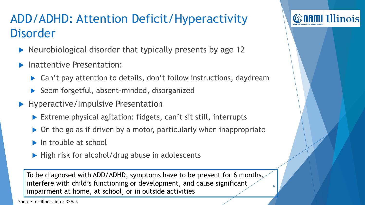#### ADD/ADHD: Attention Deficit/Hyperactivity Disorder

- Neurobiological disorder that typically presents by age 12
- Inattentive Presentation:
	- ▶ Can't pay attention to details, don't follow instructions, daydream
	- Seem forgetful, absent-minded, disorganized
- **Hyperactive/Impulsive Presentation** 
	- Extreme physical agitation: fidgets, can't sit still, interrupts
	- ▶ On the go as if driven by a motor, particularly when inappropriate
	- $\blacktriangleright$  In trouble at school
	- $\blacktriangleright$  High risk for alcohol/drug abuse in adolescents

To be diagnosed with ADD/ADHD, symptoms have to be present for 6 months, interfere with child's functioning or development, and cause significant impairment at home, at school, or in outside activities

6

*Connullinois* 

Source for illness info: DSM-5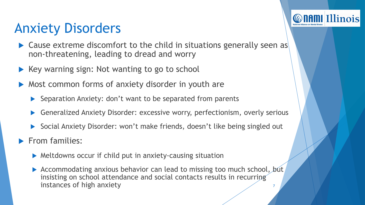# Anxiety Disorders

 Cause extreme discomfort to the child in situations generally seen as non-threatening, leading to dread and worry

**Connullinois** 

- Key warning sign: Not wanting to go to school
- Most common forms of anxiety disorder in youth are
	- $\triangleright$  Separation Anxiety: don't want to be separated from parents
	- Generalized Anxiety Disorder: excessive worry, perfectionism, overly serious
	- Social Anxiety Disorder: won't make friends, doesn't like being singled out

From families:

- Meltdowns occur if child put in anxiety-causing situation
- Accommodating anxious behavior can lead to missing too much school, but insisting on school attendance and social contacts results in recurring instances of high anxiety <sup>7</sup>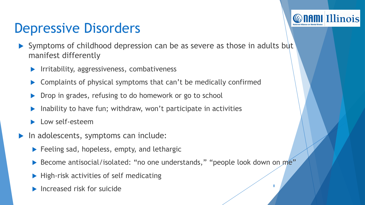# Depressive Disorders

 Symptoms of childhood depression can be as severe as those in adults but manifest differently

*C* name Illinois

- **IFRITHS** Irritability, aggressiveness, combativeness
- Complaints of physical symptoms that can't be medically confirmed
- Drop in grades, refusing to do homework or go to school
- Inability to have fun; withdraw, won't participate in activities
- Low self-esteem
- In adolescents, symptoms can include:
	- $\blacktriangleright$  Feeling sad, hopeless, empty, and lethargic
	- ▶ Become antisocial/isolated: "no one understands," "people look down on me"
	- $\blacktriangleright$  High-risk activities of self medicating
	- Increased risk for suicide  $\frac{8}{3}$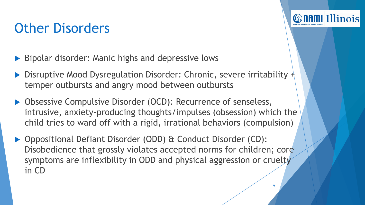# Other Disorders

- ▶ Bipolar disorder: Manic highs and depressive lows
- Disruptive Mood Dysregulation Disorder: Chronic, severe irritability  $+\frac{1}{2}$ temper outbursts and angry mood between outbursts
- ▶ Obsessive Compulsive Disorder (OCD): Recurrence of senseless, intrusive, anxiety-producing thoughts/impulses (obsession) which the child tries to ward off with a rigid, irrational behaviors (compulsion)
- ▶ Oppositional Defiant Disorder (ODD) & Conduct Disorder (CD): Disobedience that grossly violates accepted norms for children; core symptoms are inflexibility in ODD and physical aggression or cruelty in CD

9

*Connullinois*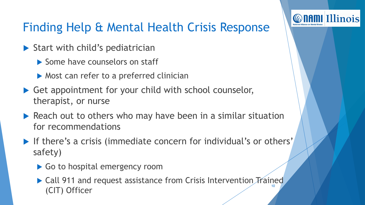#### Finding Help & Mental Health Crisis Response

**Connul Illinois** 

- $\triangleright$  Start with child's pediatrician
	- Some have counselors on staff
	- ▶ Most can refer to a preferred clinician
- ▶ Get appointment for your child with school counselor, therapist, or nurse
- Reach out to others who may have been in a similar situation for recommendations
- If there's a crisis (immediate concern for individual's or others' safety)
	- Go to hospital emergency room
	- ▶ Call 911 and request assistance from Crisis Intervention Trained (CIT) Officer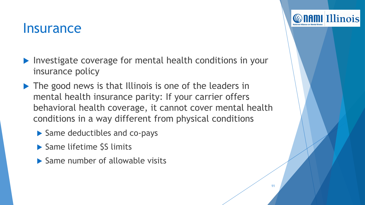#### **Insurance**

- Investigate coverage for mental health conditions in your insurance policy
- ▶ The good news is that Illinois is one of the leaders in mental health insurance parity: If your carrier offers behavioral health coverage, it cannot cover mental health conditions in a way different from physical conditions

11

**Connullinois** 

- ▶ Same deductibles and co-pays
- ▶ Same lifetime \$S limits
- $\blacktriangleright$  Same number of allowable visits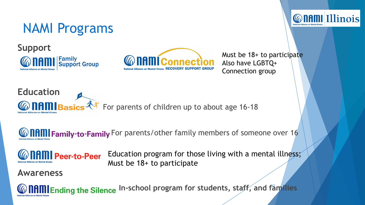





Must be 18+ to participate Also have LGBTQ+ Connection group

**Connul Illinois** 



**We IHMI Family-to-Family** For parents/other family members of someone over 16



Education program for those living with a mental illness; Must be 18+ to participate

#### **Awareness**

**NAMI** Ending the Silence In-school program for students, staff, and families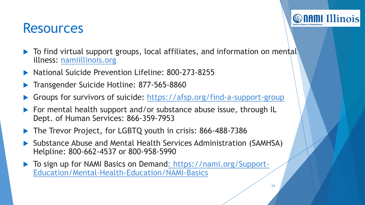#### **Resources**

- ▶ To find virtual support groups, local affiliates, and information on mental illness: namiillinois.org
- ▶ National Suicide Prevention Lifeline: 800-273-8255
- Transgender Suicide Hotline: 877-565-8860
- Groups for survivors of suicide: <https://afsp.org/find-a-support-group>
- ▶ For mental health support and/or substance abuse issue, through IL Dept. of Human Services: 866-359-7953
- ▶ The Trevor Project, for LGBTQ youth in crisis: 866-488-7386
- Substance Abuse and Mental Health Services Administration (SAMHSA) Helpline: 800-662-4537 or 800-958-5990
- ▶ [To sign up for NAMI Basics on Demand: https://nami.org/Support-](https://nami.org/Support-Education/Mental-Health-Education/NAMI-Basics)Education/Mental-Health-Education/NAMI-Basics

*C* name Illinois